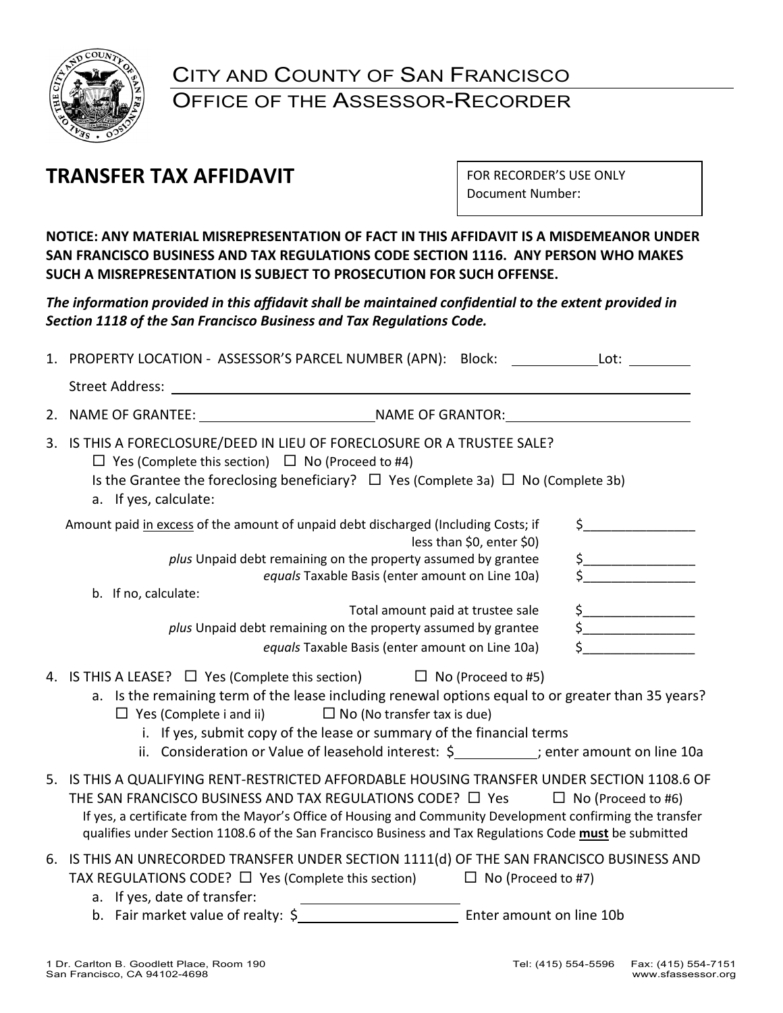

# CITY AND COUNTY OF SAN FRANCISCO OFFICE OF THE ASSESSOR-RECORDER

# **TRANSFER TAX AFFIDAVIT**

FOR RECORDER'S USE ONLY Document Number:

**NOTICE: ANY MATERIAL MISREPRESENTATION OF FACT IN THIS AFFIDAVIT IS A MISDEMEANOR UNDER SAN FRANCISCO BUSINESS AND TAX REGULATIONS CODE SECTION 1116. ANY PERSON WHO MAKES SUCH A MISREPRESENTATION IS SUBJECT TO PROSECUTION FOR SUCH OFFENSE.**

*The information provided in this affidavit shall be maintained confidential to the extent provided in Section 1118 of the San Francisco Business and Tax Regulations Code.*

| Street Address: National Address: National Address: National Address: National Address: National Address: National Address: National Address: National Address: National Address: National Address: National Address: National<br>2.<br>3. IS THIS A FORECLOSURE/DEED IN LIEU OF FORECLOSURE OR A TRUSTEE SALE?<br>$\Box$ Yes (Complete this section) $\Box$ No (Proceed to #4)<br>Is the Grantee the foreclosing beneficiary? $\Box$ Yes (Complete 3a) $\Box$ No (Complete 3b)<br>a. If yes, calculate:<br>Amount paid in excess of the amount of unpaid debt discharged (Including Costs; if<br>less than \$0, enter \$0)<br>plus Unpaid debt remaining on the property assumed by grantee<br>equals Taxable Basis (enter amount on Line 10a)<br>b. If no, calculate:<br>Total amount paid at trustee sale<br>plus Unpaid debt remaining on the property assumed by grantee<br>equals Taxable Basis (enter amount on Line 10a) |                                                                                                                                                                                                                                                                                                                                                                                                                                                            |
|----------------------------------------------------------------------------------------------------------------------------------------------------------------------------------------------------------------------------------------------------------------------------------------------------------------------------------------------------------------------------------------------------------------------------------------------------------------------------------------------------------------------------------------------------------------------------------------------------------------------------------------------------------------------------------------------------------------------------------------------------------------------------------------------------------------------------------------------------------------------------------------------------------------------------------|------------------------------------------------------------------------------------------------------------------------------------------------------------------------------------------------------------------------------------------------------------------------------------------------------------------------------------------------------------------------------------------------------------------------------------------------------------|
|                                                                                                                                                                                                                                                                                                                                                                                                                                                                                                                                                                                                                                                                                                                                                                                                                                                                                                                                  |                                                                                                                                                                                                                                                                                                                                                                                                                                                            |
|                                                                                                                                                                                                                                                                                                                                                                                                                                                                                                                                                                                                                                                                                                                                                                                                                                                                                                                                  |                                                                                                                                                                                                                                                                                                                                                                                                                                                            |
|                                                                                                                                                                                                                                                                                                                                                                                                                                                                                                                                                                                                                                                                                                                                                                                                                                                                                                                                  |                                                                                                                                                                                                                                                                                                                                                                                                                                                            |
|                                                                                                                                                                                                                                                                                                                                                                                                                                                                                                                                                                                                                                                                                                                                                                                                                                                                                                                                  | $\sharp$                                                                                                                                                                                                                                                                                                                                                                                                                                                   |
|                                                                                                                                                                                                                                                                                                                                                                                                                                                                                                                                                                                                                                                                                                                                                                                                                                                                                                                                  | $\begin{array}{c c} \n5 & \phantom{0} & \phantom{0} & \phantom{0} & \phantom{0} & \phantom{0} & \phantom{0} & \phantom{0} & \phantom{0} & \phantom{0} & \phantom{0} & \phantom{0} & \phantom{0} & \phantom{0} & \phantom{0} & \phantom{0} & \phantom{0} & \phantom{0} & \phantom{0} & \phantom{0} & \phantom{0} & \phantom{0} & \phantom{0} & \phantom{0} & \phantom{0} & \phantom{0} & \phantom{0} & \phantom{0} & \phantom{0} & \phantom{0} & \phantom{$ |
|                                                                                                                                                                                                                                                                                                                                                                                                                                                                                                                                                                                                                                                                                                                                                                                                                                                                                                                                  |                                                                                                                                                                                                                                                                                                                                                                                                                                                            |
|                                                                                                                                                                                                                                                                                                                                                                                                                                                                                                                                                                                                                                                                                                                                                                                                                                                                                                                                  | $\begin{array}{c}\n5 \\ 5\n\end{array}$                                                                                                                                                                                                                                                                                                                                                                                                                    |
|                                                                                                                                                                                                                                                                                                                                                                                                                                                                                                                                                                                                                                                                                                                                                                                                                                                                                                                                  |                                                                                                                                                                                                                                                                                                                                                                                                                                                            |
| 4. IS THIS A LEASE? $\Box$ Yes (Complete this section) $\Box$ No (Proceed to #5)<br>a. Is the remaining term of the lease including renewal options equal to or greater than 35 years?<br>$\Box$ No (No transfer tax is due)<br>$\Box$ Yes (Complete i and ii)<br>i. If yes, submit copy of the lease or summary of the financial terms<br>ii. Consideration or Value of leasehold interest: \$ _________; enter amount on line 10a                                                                                                                                                                                                                                                                                                                                                                                                                                                                                              |                                                                                                                                                                                                                                                                                                                                                                                                                                                            |
| 5. IS THIS A QUALIFYING RENT-RESTRICTED AFFORDABLE HOUSING TRANSFER UNDER SECTION 1108.6 OF<br>THE SAN FRANCISCO BUSINESS AND TAX REGULATIONS CODE? □ Yes<br>If yes, a certificate from the Mayor's Office of Housing and Community Development confirming the transfer<br>qualifies under Section 1108.6 of the San Francisco Business and Tax Regulations Code must be submitted                                                                                                                                                                                                                                                                                                                                                                                                                                                                                                                                               | $\Box$ No (Proceed to #6)                                                                                                                                                                                                                                                                                                                                                                                                                                  |
| 6. IS THIS AN UNRECORDED TRANSFER UNDER SECTION 1111(d) OF THE SAN FRANCISCO BUSINESS AND<br>TAX REGULATIONS CODE? $\Box$ Yes (Complete this section) $\Box$ No (Proceed to #7)<br>a. If yes, date of transfer:<br>b. Fair market value of realty: \$<br>Enter amount on line 10b                                                                                                                                                                                                                                                                                                                                                                                                                                                                                                                                                                                                                                                |                                                                                                                                                                                                                                                                                                                                                                                                                                                            |